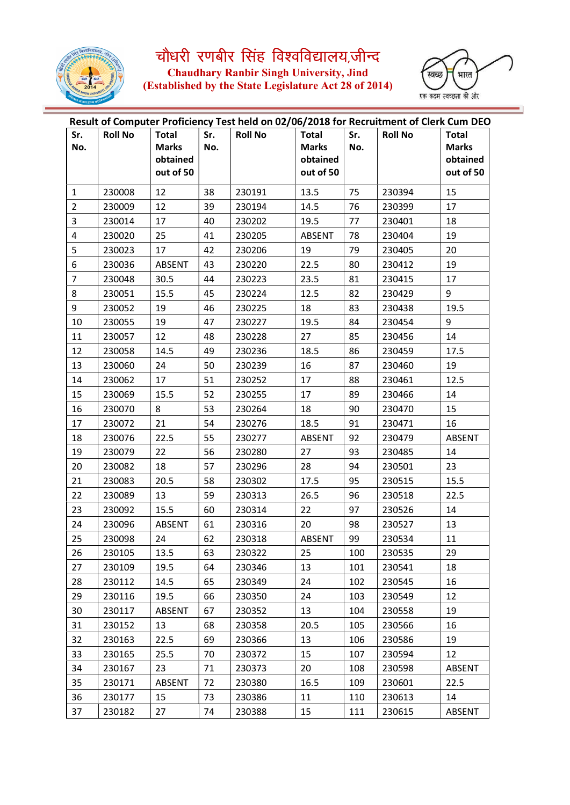

चौधरी रणबीर सिंह विश्वविद्यालय,जीन्द<br>Chaudhary Ranbir Singh University, Jind<br>(Established by the State Legislature Act 28 of 2014)



| Sr.            | <b>Roll No</b> | <b>Total</b>  | Sr. | Result of Computer Proficiency Test held on 02/06/2018 for Recruitment of Clerk Cum DEO<br><b>Roll No</b> | <b>Total</b>  | Sr. | <b>Roll No</b> | <b>Total</b>  |
|----------------|----------------|---------------|-----|-----------------------------------------------------------------------------------------------------------|---------------|-----|----------------|---------------|
| No.            |                | <b>Marks</b>  | No. |                                                                                                           | <b>Marks</b>  | No. |                | <b>Marks</b>  |
|                |                | obtained      |     |                                                                                                           | obtained      |     |                | obtained      |
|                |                | out of 50     |     |                                                                                                           | out of 50     |     |                | out of 50     |
| $\mathbf{1}$   | 230008         | 12            | 38  | 230191                                                                                                    | 13.5          | 75  | 230394         | 15            |
| $\overline{2}$ | 230009         | 12            | 39  | 230194                                                                                                    | 14.5          | 76  | 230399         | 17            |
| 3              | 230014         | 17            | 40  | 230202                                                                                                    | 19.5          | 77  | 230401         | 18            |
| 4              | 230020         | 25            | 41  | 230205                                                                                                    | ABSENT        | 78  | 230404         | 19            |
| 5              | 230023         | 17            | 42  | 230206                                                                                                    | 19            | 79  | 230405         | 20            |
| 6              | 230036         | ABSENT        | 43  | 230220                                                                                                    | 22.5          | 80  | 230412         | 19            |
| $\overline{7}$ | 230048         | 30.5          | 44  | 230223                                                                                                    | 23.5          | 81  | 230415         | 17            |
| 8              | 230051         | 15.5          | 45  | 230224                                                                                                    | 12.5          | 82  | 230429         | 9             |
| 9              | 230052         | 19            | 46  | 230225                                                                                                    | 18            | 83  | 230438         | 19.5          |
| 10             | 230055         | 19            | 47  | 230227                                                                                                    | 19.5          | 84  | 230454         | 9             |
| 11             | 230057         | 12            | 48  | 230228                                                                                                    | 27            | 85  | 230456         | 14            |
| 12             | 230058         | 14.5          | 49  | 230236                                                                                                    | 18.5          | 86  | 230459         | 17.5          |
| 13             | 230060         | 24            | 50  | 230239                                                                                                    | 16            | 87  | 230460         | 19            |
| 14             | 230062         | 17            | 51  | 230252                                                                                                    | 17            | 88  | 230461         | 12.5          |
| 15             | 230069         | 15.5          | 52  | 230255                                                                                                    | 17            | 89  | 230466         | 14            |
| 16             | 230070         | 8             | 53  | 230264                                                                                                    | 18            | 90  | 230470         | 15            |
| 17             | 230072         | 21            | 54  | 230276                                                                                                    | 18.5          | 91  | 230471         | 16            |
| 18             | 230076         | 22.5          | 55  | 230277                                                                                                    | <b>ABSENT</b> | 92  | 230479         | <b>ABSENT</b> |
| 19             | 230079         | 22            | 56  | 230280                                                                                                    | 27            | 93  | 230485         | 14            |
| 20             | 230082         | 18            | 57  | 230296                                                                                                    | 28            | 94  | 230501         | 23            |
| 21             | 230083         | 20.5          | 58  | 230302                                                                                                    | 17.5          | 95  | 230515         | 15.5          |
| 22             | 230089         | 13            | 59  | 230313                                                                                                    | 26.5          | 96  | 230518         | 22.5          |
| 23             | 230092         | 15.5          | 60  | 230314                                                                                                    | 22            | 97  | 230526         | 14            |
| 24             | 230096         | ABSENT        | 61  | 230316                                                                                                    | 20            | 98  | 230527         | 13            |
| 25             | 230098         | 24            | 62  | 230318                                                                                                    | ABSENT        | 99  | 230534         | 11            |
| 26             | 230105         | 13.5          | 63  | 230322                                                                                                    | 25            | 100 | 230535         | 29            |
| 27             | 230109         | 19.5          | 64  | 230346                                                                                                    | 13            | 101 | 230541         | 18            |
| 28             | 230112         | 14.5          | 65  | 230349                                                                                                    | 24            | 102 | 230545         | 16            |
| 29             | 230116         | 19.5          | 66  | 230350                                                                                                    | 24            | 103 | 230549         | 12            |
| 30             | 230117         | ABSENT        | 67  | 230352                                                                                                    | 13            | 104 | 230558         | 19            |
| 31             | 230152         | 13            | 68  | 230358                                                                                                    | 20.5          | 105 | 230566         | 16            |
| 32             | 230163         | 22.5          | 69  | 230366                                                                                                    | 13            | 106 | 230586         | 19            |
| 33             | 230165         | 25.5          | 70  | 230372                                                                                                    | 15            | 107 | 230594         | 12            |
| 34             | 230167         | 23            | 71  | 230373                                                                                                    | 20            | 108 | 230598         | ABSENT        |
| 35             | 230171         | <b>ABSENT</b> | 72  | 230380                                                                                                    | 16.5          | 109 | 230601         | 22.5          |
| 36             | 230177         | 15            | 73  | 230386                                                                                                    | 11            | 110 | 230613         | 14            |
| 37             | 230182         | 27            | 74  | 230388                                                                                                    | 15            | 111 | 230615         | ABSENT        |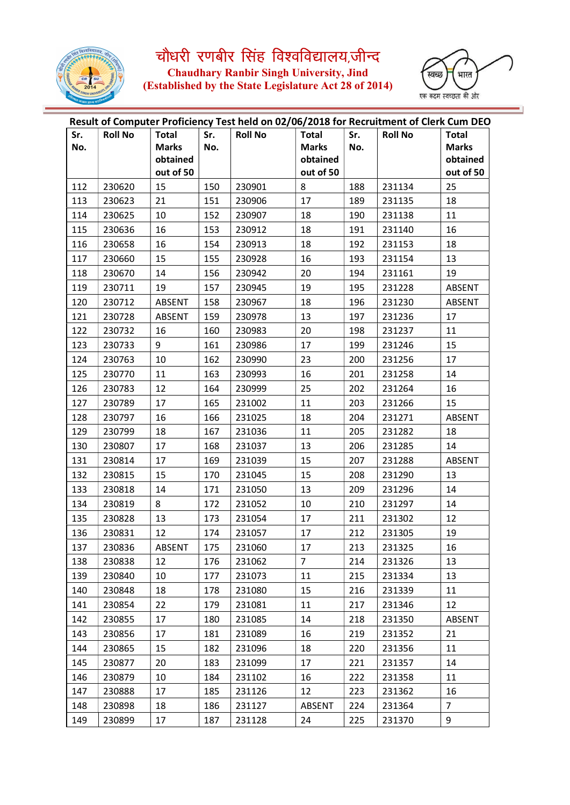

चौधरी रणबीर सिंह विश्वविद्यालय,जीन्द<br>Chaudhary Ranbir Singh University, Jind<br>(Established by the State Legislature Act 28 of 2014)



| Result of Computer Proficiency Test held on 02/06/2018 for Recruitment of Clerk Cum DEO |                |                       |     |                |                       |     |                |                       |  |  |
|-----------------------------------------------------------------------------------------|----------------|-----------------------|-----|----------------|-----------------------|-----|----------------|-----------------------|--|--|
| Sr.                                                                                     | <b>Roll No</b> | <b>Total</b>          | Sr. | <b>Roll No</b> | <b>Total</b>          | Sr. | <b>Roll No</b> | <b>Total</b>          |  |  |
| No.                                                                                     |                | <b>Marks</b>          | No. |                | <b>Marks</b>          | No. |                | <b>Marks</b>          |  |  |
|                                                                                         |                | obtained<br>out of 50 |     |                | obtained<br>out of 50 |     |                | obtained<br>out of 50 |  |  |
| 112                                                                                     | 230620         | 15                    | 150 | 230901         | 8                     | 188 | 231134         | 25                    |  |  |
| 113                                                                                     | 230623         | 21                    | 151 | 230906         | 17                    | 189 | 231135         | 18                    |  |  |
| 114                                                                                     | 230625         | 10                    | 152 | 230907         | 18                    | 190 | 231138         | 11                    |  |  |
| 115                                                                                     | 230636         | 16                    | 153 | 230912         | 18                    | 191 | 231140         | 16                    |  |  |
| 116                                                                                     | 230658         | 16                    | 154 | 230913         | 18                    | 192 | 231153         | 18                    |  |  |
| 117                                                                                     | 230660         | 15                    | 155 | 230928         | 16                    | 193 | 231154         | 13                    |  |  |
| 118                                                                                     | 230670         | 14                    | 156 | 230942         | 20                    | 194 | 231161         | 19                    |  |  |
| 119                                                                                     | 230711         | 19                    | 157 | 230945         | 19                    | 195 | 231228         | ABSENT                |  |  |
| 120                                                                                     | 230712         | ABSENT                | 158 | 230967         | 18                    | 196 | 231230         | ABSENT                |  |  |
| 121                                                                                     | 230728         | ABSENT                | 159 | 230978         | 13                    | 197 | 231236         | 17                    |  |  |
| 122                                                                                     | 230732         | 16                    | 160 | 230983         | 20                    | 198 | 231237         | 11                    |  |  |
| 123                                                                                     | 230733         | 9                     | 161 | 230986         | 17                    | 199 | 231246         | 15                    |  |  |
| 124                                                                                     | 230763         | 10                    | 162 | 230990         | 23                    | 200 | 231256         | 17                    |  |  |
|                                                                                         |                |                       |     |                |                       |     |                | 14                    |  |  |
| 125                                                                                     | 230770         | 11                    | 163 | 230993         | 16                    | 201 | 231258         |                       |  |  |
| 126                                                                                     | 230783         | 12                    | 164 | 230999         | 25                    | 202 | 231264         | 16                    |  |  |
| 127                                                                                     | 230789         | 17                    | 165 | 231002         | 11                    | 203 | 231266         | 15                    |  |  |
| 128                                                                                     | 230797         | 16                    | 166 | 231025         | 18                    | 204 | 231271         | ABSENT                |  |  |
| 129                                                                                     | 230799         | 18                    | 167 | 231036         | 11                    | 205 | 231282         | 18                    |  |  |
| 130                                                                                     | 230807         | 17                    | 168 | 231037         | 13                    | 206 | 231285         | 14                    |  |  |
| 131                                                                                     | 230814         | 17                    | 169 | 231039         | 15                    | 207 | 231288         | ABSENT                |  |  |
| 132                                                                                     | 230815         | 15                    | 170 | 231045         | 15                    | 208 | 231290         | 13                    |  |  |
| 133                                                                                     | 230818         | 14                    | 171 | 231050         | 13                    | 209 | 231296         | 14                    |  |  |
| 134                                                                                     | 230819         | 8                     | 172 | 231052         | 10                    | 210 | 231297         | 14                    |  |  |
| 135                                                                                     | 230828         | 13                    | 173 | 231054         | 17                    | 211 | 231302         | 12                    |  |  |
| 136                                                                                     | 230831         | 12                    | 174 | 231057         | 17                    | 212 | 231305         | 19                    |  |  |
| 137                                                                                     | 230836         | ABSENT                | 175 | 231060         | 17                    | 213 | 231325         | 16                    |  |  |
| 138                                                                                     | 230838         | 12                    | 176 | 231062         | $\overline{7}$        | 214 | 231326         | 13                    |  |  |
| 139                                                                                     | 230840         | 10                    | 177 | 231073         | 11                    | 215 | 231334         | 13                    |  |  |
| 140                                                                                     | 230848         | 18                    | 178 | 231080         | 15                    | 216 | 231339         | 11                    |  |  |
| 141                                                                                     | 230854         | 22                    | 179 | 231081         | 11                    | 217 | 231346         | 12                    |  |  |
| 142                                                                                     | 230855         | 17                    | 180 | 231085         | 14                    | 218 | 231350         | ABSENT                |  |  |
| 143                                                                                     | 230856         | 17                    | 181 | 231089         | 16                    | 219 | 231352         | 21                    |  |  |
| 144                                                                                     | 230865         | 15                    | 182 | 231096         | 18                    | 220 | 231356         | 11                    |  |  |
| 145                                                                                     | 230877         | 20                    | 183 | 231099         | 17                    | 221 | 231357         | 14                    |  |  |
| 146                                                                                     | 230879         | 10                    | 184 | 231102         | 16                    | 222 | 231358         | 11                    |  |  |
| 147                                                                                     | 230888         | 17                    | 185 | 231126         | 12                    | 223 | 231362         | 16                    |  |  |
| 148                                                                                     | 230898         | 18                    | 186 | 231127         | ABSENT                | 224 | 231364         | 7                     |  |  |
| 149                                                                                     | 230899         | 17                    | 187 | 231128         | 24                    | 225 | 231370         | 9                     |  |  |